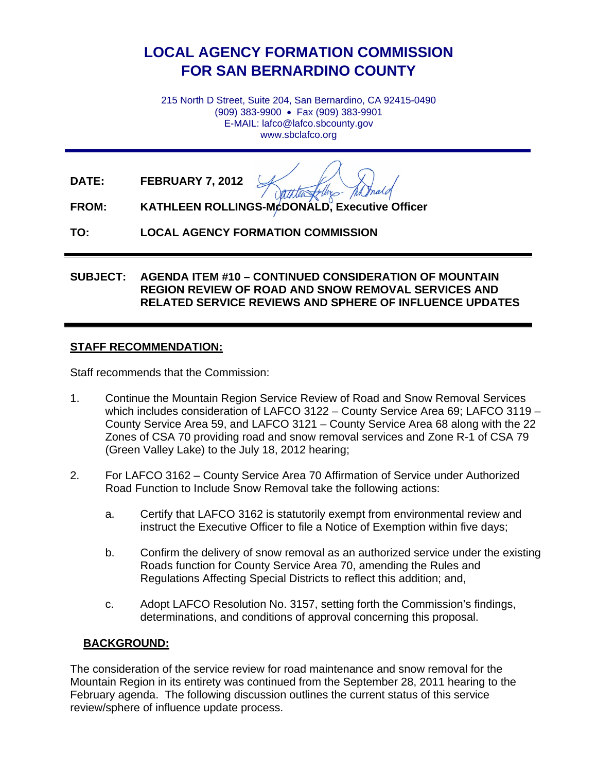# **LOCAL AGENCY FORMATION COMMISSION FOR SAN BERNARDINO COUNTY**

215 North D Street, Suite 204, San Bernardino, CA 92415-0490 (909) 383-9900 • Fax (909) 383-9901 E-MAIL: lafco@lafco.sbcounty.gov www.sbclafco.org

**DATE: FEBRUARY 7, 2012**

fellos -

**FROM: KATHLEEN ROLLINGS-McDONALD, Executive Officer**

**TO: LOCAL AGENCY FORMATION COMMISSION** 

#### **SUBJECT: AGENDA ITEM #10 – CONTINUED CONSIDERATION OF MOUNTAIN REGION REVIEW OF ROAD AND SNOW REMOVAL SERVICES AND RELATED SERVICE REVIEWS AND SPHERE OF INFLUENCE UPDATES**

#### **STAFF RECOMMENDATION:**

Staff recommends that the Commission:

- 1. Continue the Mountain Region Service Review of Road and Snow Removal Services which includes consideration of LAFCO 3122 – County Service Area 69; LAFCO 3119 – County Service Area 59, and LAFCO 3121 – County Service Area 68 along with the 22 Zones of CSA 70 providing road and snow removal services and Zone R-1 of CSA 79 (Green Valley Lake) to the July 18, 2012 hearing;
- 2. For LAFCO 3162 County Service Area 70 Affirmation of Service under Authorized Road Function to Include Snow Removal take the following actions:
	- a. Certify that LAFCO 3162 is statutorily exempt from environmental review and instruct the Executive Officer to file a Notice of Exemption within five days;
	- b. Confirm the delivery of snow removal as an authorized service under the existing Roads function for County Service Area 70, amending the Rules and Regulations Affecting Special Districts to reflect this addition; and,
	- c. Adopt LAFCO Resolution No. 3157, setting forth the Commission's findings, determinations, and conditions of approval concerning this proposal.

## **BACKGROUND:**

The consideration of the service review for road maintenance and snow removal for the Mountain Region in its entirety was continued from the September 28, 2011 hearing to the February agenda. The following discussion outlines the current status of this service review/sphere of influence update process.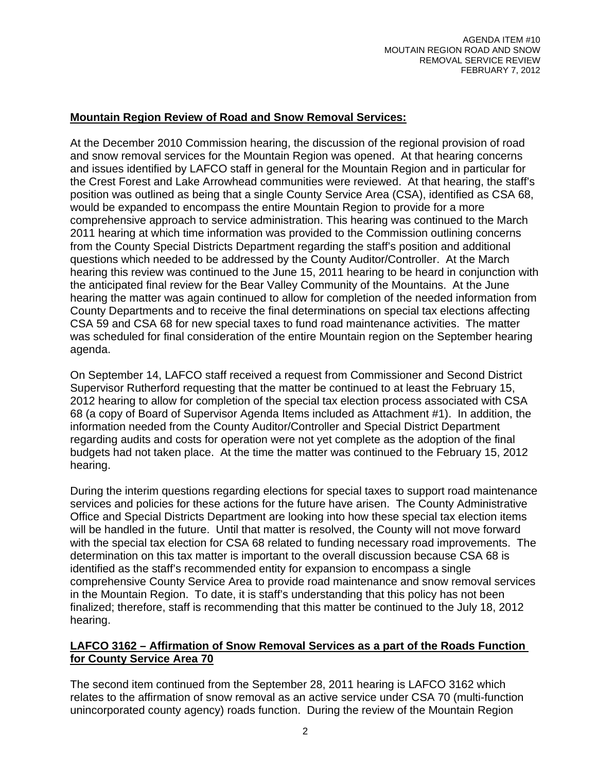## **Mountain Region Review of Road and Snow Removal Services:**

At the December 2010 Commission hearing, the discussion of the regional provision of road and snow removal services for the Mountain Region was opened. At that hearing concerns and issues identified by LAFCO staff in general for the Mountain Region and in particular for the Crest Forest and Lake Arrowhead communities were reviewed. At that hearing, the staff's position was outlined as being that a single County Service Area (CSA), identified as CSA 68, would be expanded to encompass the entire Mountain Region to provide for a more comprehensive approach to service administration. This hearing was continued to the March 2011 hearing at which time information was provided to the Commission outlining concerns from the County Special Districts Department regarding the staff's position and additional questions which needed to be addressed by the County Auditor/Controller. At the March hearing this review was continued to the June 15, 2011 hearing to be heard in conjunction with the anticipated final review for the Bear Valley Community of the Mountains. At the June hearing the matter was again continued to allow for completion of the needed information from County Departments and to receive the final determinations on special tax elections affecting CSA 59 and CSA 68 for new special taxes to fund road maintenance activities. The matter was scheduled for final consideration of the entire Mountain region on the September hearing agenda.

On September 14, LAFCO staff received a request from Commissioner and Second District Supervisor Rutherford requesting that the matter be continued to at least the February 15, 2012 hearing to allow for completion of the special tax election process associated with CSA 68 (a copy of Board of Supervisor Agenda Items included as Attachment #1). In addition, the information needed from the County Auditor/Controller and Special District Department regarding audits and costs for operation were not yet complete as the adoption of the final budgets had not taken place. At the time the matter was continued to the February 15, 2012 hearing.

During the interim questions regarding elections for special taxes to support road maintenance services and policies for these actions for the future have arisen. The County Administrative Office and Special Districts Department are looking into how these special tax election items will be handled in the future. Until that matter is resolved, the County will not move forward with the special tax election for CSA 68 related to funding necessary road improvements. The determination on this tax matter is important to the overall discussion because CSA 68 is identified as the staff's recommended entity for expansion to encompass a single comprehensive County Service Area to provide road maintenance and snow removal services in the Mountain Region. To date, it is staff's understanding that this policy has not been finalized; therefore, staff is recommending that this matter be continued to the July 18, 2012 hearing.

#### **LAFCO 3162 – Affirmation of Snow Removal Services as a part of the Roads Function for County Service Area 70**

The second item continued from the September 28, 2011 hearing is LAFCO 3162 which relates to the affirmation of snow removal as an active service under CSA 70 (multi-function unincorporated county agency) roads function. During the review of the Mountain Region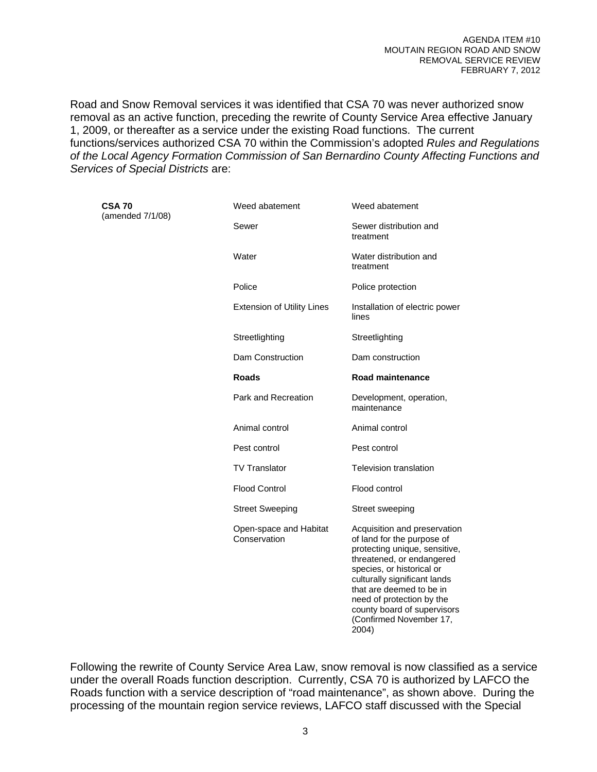Road and Snow Removal services it was identified that CSA 70 was never authorized snow removal as an active function, preceding the rewrite of County Service Area effective January 1, 2009, or thereafter as a service under the existing Road functions. The current functions/services authorized CSA 70 within the Commission's adopted *Rules and Regulations of the Local Agency Formation Commission of San Bernardino County Affecting Functions and Services of Special Districts* are:

| <b>CSA 70</b><br>(amended 7/1/08) | Weed abatement                         | Weed abatement                                                                                                                                                                                                                                                                                                    |
|-----------------------------------|----------------------------------------|-------------------------------------------------------------------------------------------------------------------------------------------------------------------------------------------------------------------------------------------------------------------------------------------------------------------|
|                                   | Sewer                                  | Sewer distribution and<br>treatment                                                                                                                                                                                                                                                                               |
|                                   | Water                                  | Water distribution and<br>treatment                                                                                                                                                                                                                                                                               |
|                                   | Police                                 | Police protection                                                                                                                                                                                                                                                                                                 |
|                                   | <b>Extension of Utility Lines</b>      | Installation of electric power<br>lines                                                                                                                                                                                                                                                                           |
|                                   | Streetlighting                         | Streetlighting                                                                                                                                                                                                                                                                                                    |
|                                   | Dam Construction                       | Dam construction                                                                                                                                                                                                                                                                                                  |
|                                   | <b>Roads</b>                           | Road maintenance                                                                                                                                                                                                                                                                                                  |
|                                   | Park and Recreation                    | Development, operation,<br>maintenance                                                                                                                                                                                                                                                                            |
|                                   | Animal control                         | Animal control                                                                                                                                                                                                                                                                                                    |
|                                   | Pest control                           | Pest control                                                                                                                                                                                                                                                                                                      |
|                                   | <b>TV Translator</b>                   | <b>Television translation</b>                                                                                                                                                                                                                                                                                     |
|                                   | <b>Flood Control</b>                   | Flood control                                                                                                                                                                                                                                                                                                     |
|                                   | <b>Street Sweeping</b>                 | Street sweeping                                                                                                                                                                                                                                                                                                   |
|                                   | Open-space and Habitat<br>Conservation | Acquisition and preservation<br>of land for the purpose of<br>protecting unique, sensitive,<br>threatened, or endangered<br>species, or historical or<br>culturally significant lands<br>that are deemed to be in<br>need of protection by the<br>county board of supervisors<br>(Confirmed November 17,<br>2004) |

Following the rewrite of County Service Area Law, snow removal is now classified as a service under the overall Roads function description. Currently, CSA 70 is authorized by LAFCO the Roads function with a service description of "road maintenance", as shown above. During the processing of the mountain region service reviews, LAFCO staff discussed with the Special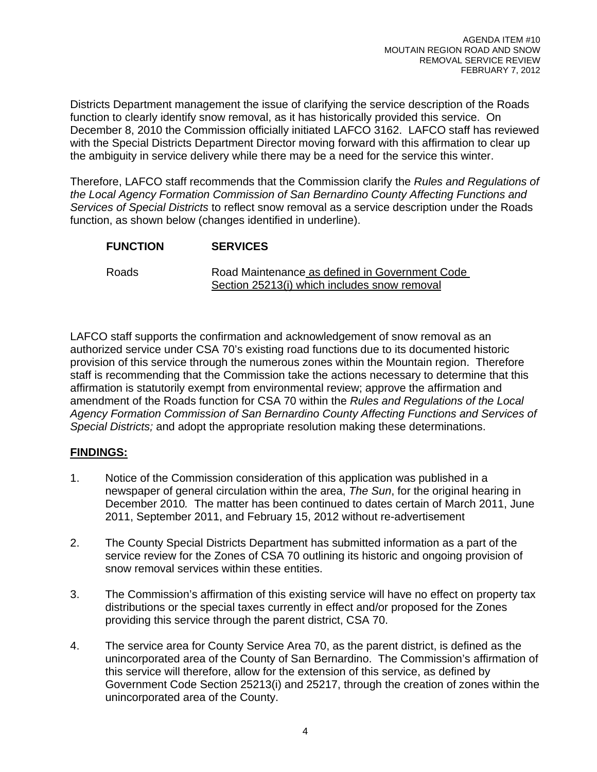Districts Department management the issue of clarifying the service description of the Roads function to clearly identify snow removal, as it has historically provided this service. On December 8, 2010 the Commission officially initiated LAFCO 3162. LAFCO staff has reviewed with the Special Districts Department Director moving forward with this affirmation to clear up the ambiguity in service delivery while there may be a need for the service this winter.

Therefore, LAFCO staff recommends that the Commission clarify the *Rules and Regulations of the Local Agency Formation Commission of San Bernardino County Affecting Functions and Services of Special Districts* to reflect snow removal as a service description under the Roads function, as shown below (changes identified in underline).

| <b>FUNCTION</b> | <b>SERVICES</b>                                                                                |
|-----------------|------------------------------------------------------------------------------------------------|
| <b>Roads</b>    | Road Maintenance as defined in Government Code<br>Section 25213(i) which includes snow removal |

LAFCO staff supports the confirmation and acknowledgement of snow removal as an authorized service under CSA 70's existing road functions due to its documented historic provision of this service through the numerous zones within the Mountain region. Therefore staff is recommending that the Commission take the actions necessary to determine that this affirmation is statutorily exempt from environmental review; approve the affirmation and amendment of the Roads function for CSA 70 within the *Rules and Regulations of the Local Agency Formation Commission of San Bernardino County Affecting Functions and Services of Special Districts;* and adopt the appropriate resolution making these determinations.

## **FINDINGS:**

- 1. Notice of the Commission consideration of this application was published in a newspaper of general circulation within the area, *The Sun*, for the original hearing in December 2010*.* The matter has been continued to dates certain of March 2011, June 2011, September 2011, and February 15, 2012 without re-advertisement
- 2. The County Special Districts Department has submitted information as a part of the service review for the Zones of CSA 70 outlining its historic and ongoing provision of snow removal services within these entities.
- 3. The Commission's affirmation of this existing service will have no effect on property tax distributions or the special taxes currently in effect and/or proposed for the Zones providing this service through the parent district, CSA 70.
- 4. The service area for County Service Area 70, as the parent district, is defined as the unincorporated area of the County of San Bernardino. The Commission's affirmation of this service will therefore, allow for the extension of this service, as defined by Government Code Section 25213(i) and 25217, through the creation of zones within the unincorporated area of the County.